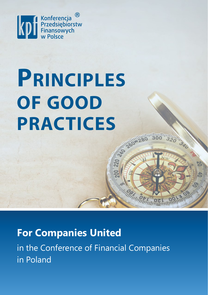

# **PRINCIPLES OF GOOD PRACTICES**

# **For Companies United**

in the Conference of Financial Companies in Poland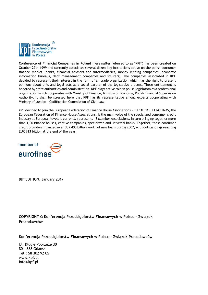

**Conference of Financial Companies in Poland** (hereinafter referred to as "KPF") has been created on October 27th 1999 and currently associates several dozen key institutions active on the polish consumer finance market (banks, financial advisors and intermediaries, money lending companies, economic information bureaus, debt management companies and insurers). The companies associated in KPF decided to represent their interest in the form of an trade organization which has the right to present opinions about bills and legal acts as a social partner of the legislative process. These entitlement is honored by state authorities and administration. KPF plays active role in polish legislation as a professional organization which cooperates with Ministry of Finance, Ministry of Economy, Polish Financial Supervision Authority. It shall be stressed here that KPF has its representative among experts cooperating with Ministry of Justice – Codification Commission of Civil Law.

KPF decided to join the European Federation of Finance House Associations – EUROFINAS. EUROFINAS, the European Federation of Finance House Associations, is the main voice of the specialized consumer credit industry at European level. It currently represents 18 Member Associations, in turn bringing together more than 1,00 finance houses, captive companies, specialized and universal banks. Together, these consumer credit providers financed over EUR 400 billion worth of new loans during 2007, with outstandings reaching EUR 713 billion at the end of the year.



8th EDITION, January 2017

**COPYRIGHT © Konferencja Przedsiębiorstw Finansowych w Polsce – Związek Pracodawców**

**Konferencja Przedsiębiorstw Finansowych w Polsce – Związek Pracodawców**

Ul. Długie Pobrzeże 30 80 – 888 Gdańsk Tel.: 58 302 92 05 www.kpf.pl info@kpf.pl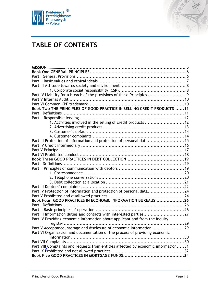



# **TABLE OF CONTENTS**

| Part IV Liability for a breach of the provisions of these Principles  9             |  |
|-------------------------------------------------------------------------------------|--|
|                                                                                     |  |
|                                                                                     |  |
| Book Two THE PRINCIPLES OF GOOD PRACTICE IN SELLING CREDIT PRODUCTS 11              |  |
|                                                                                     |  |
|                                                                                     |  |
| 1. Activities involved in the selling of credit products  12                        |  |
|                                                                                     |  |
|                                                                                     |  |
|                                                                                     |  |
| Part III Protection of information and protection of personal data 15               |  |
|                                                                                     |  |
|                                                                                     |  |
|                                                                                     |  |
|                                                                                     |  |
|                                                                                     |  |
|                                                                                     |  |
|                                                                                     |  |
|                                                                                     |  |
|                                                                                     |  |
|                                                                                     |  |
| Part IV Protection of information and protection of personal data 24                |  |
|                                                                                     |  |
| Book Four GOOD PRACTICES IN ECONOMIC INFORMATION BUREAUS 26                         |  |
|                                                                                     |  |
|                                                                                     |  |
| Part III Information duties and contacts with interested parties27                  |  |
| Part IV Providing economic information about applicant and from the inquiry         |  |
|                                                                                     |  |
| Part V Acceptance, storage and disclosure of economic information 29                |  |
| Part VI Organization and documentation of the process of providing economic         |  |
|                                                                                     |  |
|                                                                                     |  |
| Part VIII_Complaints and requests from entities affected by economic information 31 |  |
|                                                                                     |  |
|                                                                                     |  |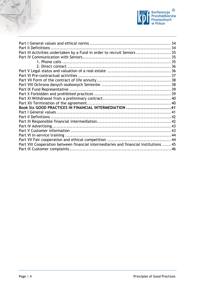



| Part III Activities undertaken by a Fund in order to recruit Seniors  35              |  |
|---------------------------------------------------------------------------------------|--|
|                                                                                       |  |
|                                                                                       |  |
|                                                                                       |  |
|                                                                                       |  |
|                                                                                       |  |
|                                                                                       |  |
|                                                                                       |  |
|                                                                                       |  |
|                                                                                       |  |
|                                                                                       |  |
|                                                                                       |  |
| Book Six GOOD PRACTICES IN FINANCIAL INTERMEDIATION 41                                |  |
|                                                                                       |  |
|                                                                                       |  |
|                                                                                       |  |
|                                                                                       |  |
|                                                                                       |  |
|                                                                                       |  |
|                                                                                       |  |
| Part VIII Cooperation between financial intermediaries and financial institutions  45 |  |
|                                                                                       |  |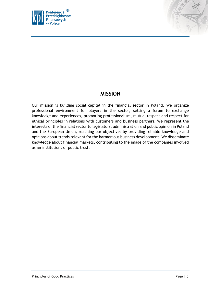



# **MISSION**

<span id="page-4-0"></span>Our mission is building social capital in the financial sector in Poland. We organize professional environment for players in the sector, setting a forum to exchange knowledge and experiences, promoting professionalism, mutual respect and respect for ethical principles in relations with customers and business partners. We represent the interests of the financial sector to legislators, administration and public opinion in Poland and the European Union, reaching our objectives by providing reliable knowledge and opinions about trends relevant for the harmonious business development. We disseminate knowledge about financial markets, contributing to the image of the companies involved as an institutions of public trust.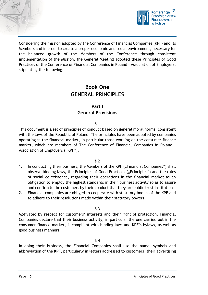



Considering the mission adopted by the Conference of Financial Companies (KPF) and its Members and in order to create a proper economic and social environment, necessary for the balanced growth of the Members of the Conference through consistent implementation of the Mission, the General Meeting adopted these Principles of Good Practices of the Conference of Financial Companies in Poland – Association of Employers, stipulating the following:

# **Book One GENERAL PRINCIPLES**

## **Part I General Provisions**

#### § 1

<span id="page-5-1"></span><span id="page-5-0"></span>This document is a set of principles of conduct based on general moral norms, consistent with the laws of the Republic of Poland. The principles have been adopted by companies operating in the financial market, in particular those working on the consumer finance market, which are members of The Conference of Financial Companies in Poland – Association of Employers ("KPF").

#### § 2

- 1. In conducting their business, the Members of the KPF ("Financial Companies") shall observe binding laws, the Principles of Good Practices ("Principles") and the rules of social co-existence, regarding their operations in the financial market as an obligation to employ the highest standards in their business activity so as to assure and confirm to the customers by their conduct that they are public trust institutions.
- 2. Financial companies are obliged to cooperate with statutory bodies of the KPF and to adhere to their resolutions made within their statutory powers.

#### § 3

Motivated by respect for customers' interests and their right of protection, Financial Companies declare that their business activity, in particular the one carried out in the consumer finance market, is compliant with binding laws and KPF's bylaws, as well as good business manners.

#### § 4

In doing their business, the Financial Companies shall use the name, symbols and abbreviation of the KPF, particularly in letters addressed to customers, their advertising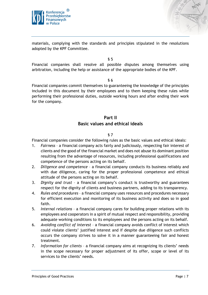



materials, complying with the standards and principles stipulated in the resolutions adopted by the KPF Committee.

§ 5

Financial companies shall resolve all possible disputes among themselves using arbitration, including the help or assistance of the appropriate bodies of the KPF.

§ 6

Financial companies commit themselves to guaranteeing the knowledge of the principles included in this document by their employees and to them keeping these rules while performing their professional duties, outside working hours and after ending their work for the company.

# **Part II Basic values and ethical ideals**

#### § 7

<span id="page-6-0"></span>Financial companies consider the following rules as the basic values and ethical ideals:

- 1. *Fairness*  a financial company acts fairly and judiciously, respecting fair interest of clients and the good of the financial market and does not abuse its dominant position resulting from the advantage of resources, including professional qualifications and competence of the persons acting on its behalf.
- 2. *Diligence and competence* a financial company conducts its business reliably and with due diligence, caring for the proper professional competence and ethical attitude of the persons acting on its behalf.
- 3. *Dignity and trust* a financial company's conduct is trustworthy and guarantees respect for the dignity of clients and business partners, adding to its transparency.
- 4. *Rules and procedures*  a financial company uses resources and procedures necessary for efficient execution and monitoring of its business activity and does so in good faith.
- 5. *Internal relations*  a financial company cares for building proper relations with its employees and cooperators in a spirit of mutual respect and responsibility, providing adequate working conditions to its employees and the persons acting on its behalf.
- 6. *Avoiding conflict of interest*  a financial company avoids conflict of interest which could violate clients' justified interest and if despite due diligence such conflicts occurs the company strives to solve it in a manner guaranteeing fair and honest treatment.
- 7. *Information for clients*  a financial company aims at recognizing its clients' needs in the scope necessary for proper adjustment of its offer, scope or level of its services to the clients' needs.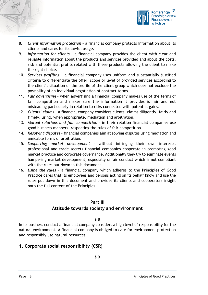



- 8. *Client information protection*  a financial company protects information about its clients and cares for its lawful usage.
- 9. *Information for clients*  a financial company provides the client with clear and reliable information about the products and services provided and about the costs, risk and potential profits related with these products allowing the client to make the right choice.
- 10. *Services profiling*  a financial company uses uniform and substantially justified criteria to differentiate the offer, scope or level of provided services according to the client's situation or the profile of the client group which does not exclude the possibility of an individual negotiation of contract terms.
- 11. *Fair advertising* when advertising a financial company makes use of the terms of fair competition and makes sure the information it provides is fair and not misleading particularly in relation to risks connected with potential gains.
- 12. *Clients' claims* a financial company considers clients' claims diligently, fairly and timely, using, when appropriate, mediation and arbitration.
- 13. *Mutual relations and fair competition* in their relation financial companies use good business manners, respecting the rules of fair competition.
- 14. *Resolving disputes* financial companies aim at solving disputes using mediation and amicable forms of arbitration.
- 15. *Supporting market development*  without infringing their own interests, professional and trade secrets financial companies cooperate in promoting good market practice and corporate governance. Additionally they try to eliminate events hampering market development, especially unfair conduct which is not compliant with the rules put down in this document.
- 16. *Using the rules*  a financial company which adheres to the Principles of Good Practice cares that its employees and persons acting on its behalf know and use the rules put down in this document and provides its clients and cooperators insight onto the full content of the Principles.

#### **Part III**

# **Attitude towards society and environment**

#### § 8

<span id="page-7-0"></span>In its business conduct a financial company considers a high level of responsibility for the natural environment. A financial company is obliged to care for environment protection and responsibly use natural resources.

# <span id="page-7-1"></span>**1. Corporate social responsibility (CSR)**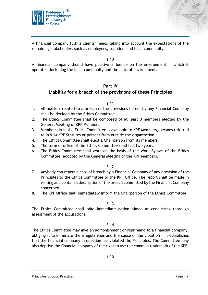



A financial company fulfills clients' needs taking into account the expectations of the remaining stakeholders such as employees, suppliers and local community.

§ 10

A financial company should have positive influence on the environment in which it operates, including the local community and the natural environment.

#### **Part IV**

#### <span id="page-8-0"></span>**Liability for a breach of the provisions of these Principles**

#### § 11

- 1. All matters related to a breach of the provisions hereof by any Financial Company shall be decided by the Ethics Committee.
- 2. The Ethics Committee shall be composed of at least 3 members elected by the General Meeting of KPF Members.
- 3. Membership in the Ethics Committee is available to KPF Members, persons referred to in § 14 KPF Statutes or persons from outside the organization.
- 4. The Ethics Committee shall elect a Chairperson from its members.
- 5. The term of office of the Ethics Committee shall last two years.
- 6. The Ethics Committee shall work on the basis of the Work Bylaws of the Ethics Committee, adopted by the General Meeting of the KPF Members.

§ 12

- 7. Anybody can report a case of breach by a Financial Company of any provision of the Principles to the Ethics Committee or the KPF Office. The report shall be made in writing and contain a description of the breach committed by the Financial Company concerned.
- 8. The KPF Office shall immediately inform the Chairperson of the Ethics Committee.

#### § 13

The Ethics Committee shall take immediate action aimed at conducting thorough assessment of the accusations.

§ 14

The Ethics Committee may give an admonishment or reprimand to a financial company, obliging it to eliminate the irregularities and the cause of the violation if it establishes that the financial company in question has violated the Principles. The Committee may also deprive the financial company of the right to use the common trademark of the KPF.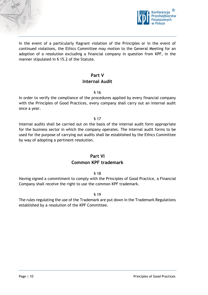



In the event of a particularly flagrant violation of the Principles or in the event of continued violations, the Ethics Committee may motion to the General Meeting for an adoption of a resolution excluding a financial company in question from KPF, in the manner stipulated in § 15.2 of the Statute.

# **Part V Internal Audit**

#### § 16

<span id="page-9-0"></span>In order to verify the compliance of the procedures applied by every financial company with the Principles of Good Practices, every company shall carry out an internal audit once a year.

#### § 17

Internal audits shall be carried out on the basis of the internal audit form appropriate for the business sector in which the company operates. The internal audit forms to be used for the purpose of carrying out audits shall be established by the Ethics Committee by way of adopting a pertinent resolution.

# **Part VI**

# **Common KPF trademark**

#### § 18

<span id="page-9-1"></span>Having signed a commitment to comply with the Principles of Good Practice, a Financial Company shall receive the right to use the common KPF trademark.

#### § 19

The rules regulating the use of the Trademark are put down in the Trademark Regulations established by a resolution of the KPF Committee.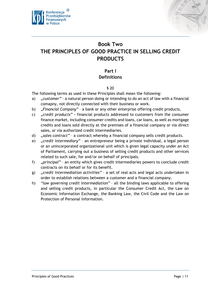



# <span id="page-10-0"></span>**Book Two THE PRINCIPLES OF GOOD PRACTICE IN SELLING CREDIT PRODUCTS**

# **Part I Definitions**

#### § 20

<span id="page-10-1"></span>The following terms as used in these Principles shall mean the following:

- a) *"customer"* a natural person doing or intending to do an act of law with a financial comapny, not directly connected with their business or work.
- b) *"Financial Company"* a bank or any other enterprise offering credit products,
- c) *"credit products"* **–** financial products addressed to customers from the consumer finance market, including consumer credits and loans, car loans, as well as mortgage credits and loans sold directly at the premises of a financial company or via direct sales, or via authorized credit intermediaries.
- d) *"sales contract"* a contract whereby a financial company sells credit products.
- e) *"credit intermediary"* an entrepreneur being a private individual, a legal person or an unincorporated organizational unit which is given legal capacity under an Act of Parliament, carrying out a business of selling credit products and other services related to such sale, for and/or on behalf of principals.
- f) *"principal"* an entity which gives credit intermediaries powers to conclude credit contracts on its behalf or for its benefit.
- g) *"credit intermediation activities"* a set of real acts and legal acts undertaken in order to establish relations between a customer and a financial company.
- h) *"law governing credit intermediation"* all the binding laws applicable to offering and selling credit products, in particular the Consumer Credit Act, the Law on Economic Information Exchange, the Banking Law, the Civil Code and the Law on Protection of Personal Information.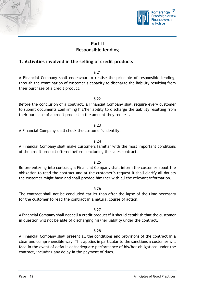



# **Part II Responsible lending**

# <span id="page-11-1"></span><span id="page-11-0"></span>**1. Activities involved in the selling of credit products**

§ 21

A Financial Company shall endeavour to realise the principle of responsible lending, through the examination of customer's capacity to discharge the liability resulting from their purchase of a credit product.

§ 22

Before the conclusion of a contract, a Financial Company shall require every customer to submit documents confirming his/her ability to discharge the liability resulting from their purchase of a credit product in the amount they request.

#### § 23

A Financial Company shall check the customer's identity.

#### § 24

A Financial Company shall make customers familiar with the most important conditions of the credit product offered before concluding the sales contract.

#### § 25

Before entering into contract, a Financial Company shall inform the customer about the obligation to read the contract and at the customer's request it shall clarify all doubts the customer might have and shall provide him/her with all the relevant information.

§ 26

The contract shall not be concluded earlier than after the lapse of the time necessary for the customer to read the contract in a natural course of action.

#### § 27

A Financial Company shall not sell a credit product if it should establish that the customer in question will not be able of discharging his/her liability under the contract.

#### § 28

A Financial Company shall present all the conditions and provisions of the contract in a clear and comprehensible way. This applies in particular to the sanctions a customer will face in the event of default or inadequate performance of his/her obligations under the contract, including any delay in the payment of dues.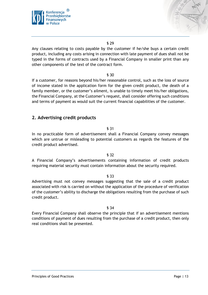



Any clauses relating to costs payable by the customer if he/she buys a certain credit product, including any costs arising in connection with late payment of dues shall not be typed in the forms of contracts used by a Financial Company in smaller print than any other components of the text of the contract form.

#### § 30

If a customer, for reasons beyond his/her reasonable control, such as the loss of source of income stated in the application form for the given credit product, the death of a family member, or the customer's ailment, is unable to timely meet his/her obligations, the Financial Company, at the Customer's request, shall consider offering such conditions and terms of payment as would suit the current financial capabilities of the customer.

#### <span id="page-12-0"></span>**2. Advertising credit products**

#### § 31

In no practicable form of advertisement shall a Financial Company convey messages which are untrue or misleading to potential customers as regards the features of the credit product advertised.

#### § 32

A Financial Company's advertisements containing information of credit products requiring material security must contain information about the security required.

#### § 33

Advertising must not convey messages suggesting that the sale of a credit product associated with risk is carried on without the application of the procedure of verification of the customer's ability to discharge the obligations resulting from the purchase of such credit product.

#### § 34

Every Financial Company shall observe the principle that if an advertisement mentions conditions of payment of dues resulting from the purchase of a credit product, then only real conditions shall be presented.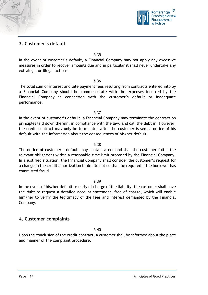

# <span id="page-13-0"></span>**3. Customer's default**

§ 35

In the event of customer's default, a Financial Company may not apply any excessive measures in order to recover amounts due and in particular it shall never undertake any extralegal or illegal actions.

§ 36

The total sum of interest and late payment fees resulting from contracts entered into by a Financial Company should be commensurate with the expenses incurred by the Financial Company in connection with the customer's default or inadequate performance.

§ 37

In the event of customer's default, a Financial Company may terminate the contract on principles laid down therein, in compliance with the law, and call the debt in. However, the credit contract may only be terminated after the customer is sent a notice of his default with the information about the consequences of his/her default.

§ 38

The notice of customer's default may contain a demand that the customer fulfils the relevant obligations within a reasonable time limit proposed by the Financial Company. In a justified situation, the Financial Company shall consider the customer's request for a change in the credit amortization table. No notice shall be required if the borrower has committed fraud.

#### § 39

In the event of his/her default or early discharge of the liability, the customer shall have the right to request a detailed account statement, free of charge, which will enable him/her to verify the legitimacy of the fees and interest demanded by the Financial Company.

#### <span id="page-13-1"></span>**4. Customer complaints**

§ 40

Upon the conclusion of the credit contract, a customer shall be informed about the place and manner of the complaint procedure.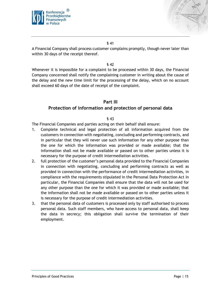



A Financial Company shall process customer complains promptly, though never later than within 30 days of the receipt thereof.

#### § 42

Whenever it is impossible for a complaint to be processed within 30 days, the Financial Company concerned shall notify the complaining customer in writing about the cause of the delay and the new time limit for the processing of the delay, which on no account shall exceed 60 days of the date of receipt of the complaint.

#### **Part III**

#### <span id="page-14-0"></span>**Protection of information and protection of personal data**

#### § 43

The Financial Companies and parties acting on their behalf shall ensure:

- 1. Complete technical and legal protection of all information acquired from the customers in connection with negotiating, concluding and performing contracts, and in particular that they will never use such information for any other purpose than the one for which the information was provided or made available; that the information shall not be made available or passed on to other parties unless it is necessary for the purpose of credit intermediation activities.
- 2. full protection of the customer's personal data provided to the Financial Companies in connection with negotiating, concluding and performing contracts as well as provided in connection with the performance of credit intermediation activities, in compliance with the requirements stipulated in the Personal Data Protection Act In particular, the Financial Companies shall ensure that the data will not be used for any other purpose than the one for which it was provided or made available; that the information shall not be made available or passed on to other parties unless it is necessary for the purpose of credit intermediation activities.
- 3. that the personal data of customers is processed only by staff authorised to process personal data. Such staff members, who have access to personal data, shall keep the data in secrecy; this obligation shall survive the termination of their employment.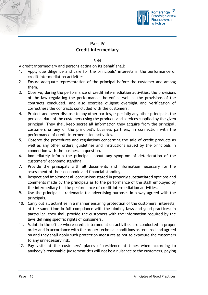



# **Part IV Credit intermediary**

§ 44

<span id="page-15-0"></span>A credit intermediary and persons acting on its behalf shall:

- 1. Apply due diligence and care for the principals' interests in the performance of credit intermediation activities.
- 2. Ensure adequate representation of the principal before the customer and among them.
- 3. Observe, during the performance of credit intermediation activities, the provisions of the law regulating the performance thereof as well as the provisions of the contracts concluded, and also exercise diligent oversight and verification of correctness the contracts concluded with the customers.
- 4. Protect and never disclose to any other parties, especially any other principals, the personal data of the customers using the products and services supplied by the given principal. They shall keep secret all information they acquire from the principal, customers or any of the principal's business partners, in connection with the performance of credit intermediation activities.
- 5. Observe the procedures and regulations concerning the sale of credit products as well as any other orders, guidelines and instructions issued by the principals in connection with the business in question.
- 6. Immediately inform the principals about any symptom of deterioration of the customers' economic standing.
- 7. Provide the principals with all documents and information necessary for the assessment of their economic and financial standing.
- 8. Respect and implement all conclusions stated in properly substantiated opinions and comments made by the principals as to the performance of the staff employed by the intermediary for the performance of credit intermediation activities.
- 9. Use the principals' trademarks for advertising purposes in a way agreed with the principals.
- 10. Carry out all activities in a manner ensuring protection of the customers' interests, at the same time in full compliance with the binding laws and good practices; in particular, they shall provide the customers with the information required by the laws defining specific rights of consumers.
- 11. Maintain the office where credit intermediation activities are conducted in proper order and in accordance with the proper technical conditions as required and agreed on and they shall apply such protection measures as not to exposure the customers to any unnecessary risk.
- 12. Pay visits at the customers' places of residence at times when according to anybody's reasonable judgement this will not be a nuisance to the customers, paying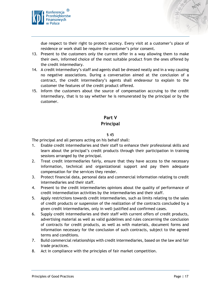



due respect to their right to protect secrecy. Every visit at a customer's place of residence or work shall be require the customer's prior consent.

- 13. Present to the customers only the current offer in a way allowing them to make their own, informed choice of the most suitable product from the ones offered by the credit intermediary.
- 14. A credit intermediary's staff and agents shall be dressed neatly and in a way causing no negative associations. During a conversation aimed at the conclusion of a contract, the credit intermediary's agents shall endeavour to explain to the customer the features of the credit product offered.
- 15. Inform the customers about the source of compensation accruing to the credit intermediary, that is to say whether he is remunerated by the principal or by the customer.

# **Part V**

# **Principal**

#### § 45

<span id="page-16-0"></span>The principal and all persons acting on his behalf shall:

- 1. Enable credit intermediaries and their staff to enhance their professional skills and learn about the principal's credit products through their participation in training sessions arranged by the principal.
- 2. Treat credit intermediaries fairly, ensure that they have access to the necessary information, technical and organizational support and pay them adequate compensation for the services they render.
- 3. Protect financial data, personal data and commercial information relating to credit intermediaries and their staff.
- 4. Present to the credit intermediaries opinions about the quality of performance of credit intermediation activities by the intermediaries and their staff.
- 5. Apply restrictions towards credit intermediaries, such as limits relating to the sales of credit products or suspension of the realization of the contracts concluded by a given credit intermediaries, only in well-justified and confirmed cases.
- 6. Supply credit intermediaries and their staff with current offers of credit products, advertising material as well as valid guidelines and rules concerning the conclusion of contracts for credit products, as well as with materials, document forms and information necessary for the conclusion of such contracts, subject to the agreed terms and conditions.
- 7. Build commercial relationships with credit intermediaries, based on the law and fair trade practices.
- 8. Act in compliance with the principles of fair market competition.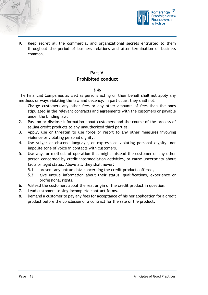



9. Keep secret all the commercial and organizational secrets entrusted to them throughout the period of business relations and after termination of business common.

# **Part VI Prohibited conduct**

#### § 46

<span id="page-17-0"></span>The Financial Companies as well as persons acting on their behalf shall not apply any methods or ways violating the law and decency. In particular, they shall not:

- 1. Charge customers any other fees or any other amounts of fees than the ones stipulated in the relevant contracts and agreements with the customers or payable under the binding law.
- 2. Pass on or disclose information about customers and the course of the process of selling credit products to any unauthorized third parties.
- 3. Apply, use or threaten to use force or resort to any other measures involving violence or violating personal dignity.
- 4. Use vulgar or obscene language, or expressions violating personal dignity, nor impolite tone of voice in contacts with customers.
- 5. Use ways or methods of operation that might mislead the customer or any other person concerned by credit intermediation activities, or cause uncertainty about facts or legal status. Above all, they shall never:
	- 5.1. present any untrue data concerning the credit products offered,
	- 5.2. give untrue information about their status, qualifications, experience or professional rights.
- 6. Mislead the customers about the real origin of the credit product in question.
- 7. Lead customers to sing incomplete contract forms.
- 8. Demand a customer to pay any fees for acceptance of his her application for a credit product before the conclusion of a contract for the sale of the product.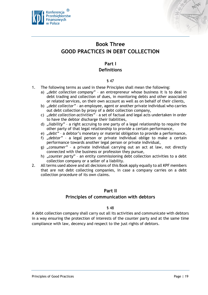



# <span id="page-18-0"></span>**Book Three GOOD PRACTICES IN DEBT COLLECTION**

# **Part I Definitions**

#### § 47

- <span id="page-18-1"></span>1. The following terms as used in these Principles shall mean the following:
	- a) "debt collection company" an entrepreneur whose business it is to deal in debt trading and collection of dues, in monitoring debts and other associated or related services, on their own account as well as on behalf of their clients,
	- b) *"debt collector"* an employee, agent or another private individual who carries out debt collection by proxy of a debt collection company,
	- c) *"debt collection activities"* a set of factual and legal acts undertaken in order to have the debtor discharge their liabilities,
	- d) *"liability"* a right accruing to one party of a legal relationship to require the other party of that legal relationship to provide a certain performance,
	- e) *"debt"* a debtor's monetary or material obligation to provide a performance,
	- f) *"debtor"* a legal person or private individual oblige to make a certain performance towards another legal person or private individual,
	- g) "consumer" a private individual carrying out an act at law, not directly connected with the business or profession they pursue,
	- h) "*counter party*" an entity commissioning debt collection activities to a debt collection company or a seller of a liability.
- 2. All terms used above and all decisions of this Book apply equally to all KPF members that are not debt collecting companies, in case a company carries on a debt collection procedure of its own claims.

#### **Part II**

#### **Principles of communication with debtors**

#### § 48

<span id="page-18-2"></span>A debt collection company shall carry out all its activities and communicate with debtors in a way ensuring the protection of interests of the counter party and at the same time compliance with law, decency and respect to the just rights of debtors.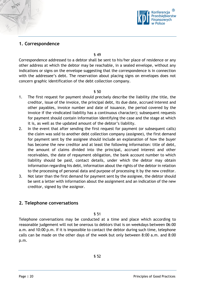

# <span id="page-19-0"></span>**1. Correspondence**

§ 49

Correspondence addressed to a debtor shall be sent to his/her place of residence or any other address at which the debtor may be reachable, in a sealed envelope, without any indications or signs on the envelope suggesting that the correspondence is in connection with the addressee's debt. The reservation about placing signs on envelopes does not concern graphic identification of the debt collection company.

§ 50

- 1. The first request for payment should precisely describe the liability (the title, the creditor, issue of the invoice, the principal debt, its due date, accrued interest and other payables, invoice number and date of issuance, the period covered by the invoice if the vindicated liability has a continuous character); subsequent requests for payment should contain information identifying the case and the stage at which it is, as well as the updated amount of the debtor's liability.
- 2. In the event that after sending the first request for payment (or subsequent calls) the claim was sold to another debt collection company (assignee), the first demand for payment sent by the assignee should include an explanation of how the buyer has become the new creditor and at least the following information: title of debt, the amount of claims divided into the principal, accrued interest and other receivables, the date of repayment obligation, the bank account number to which liability should be paid, contact details, under which the debtor may obtain information regarding his debt, information about the rights of the debtor in relation to the processing of personal data and purpose of processing it by the new creditor.
- 3. Not later than the first demand for payment sent by the assignee, the debtor should be sent a letter with information about the assignment and an indication of the new creditor, signed by the assignor.

# <span id="page-19-1"></span>**2. Telephone conversations**

§ 51

Telephone conversations may be conducted at a time and place which according to reasonable judgement will not be onerous to debtors that is on weekdays between 06:00 a.m. and 10:00 p.m. If it is impossible to contact the debtor during such time, telephone calls can be made on the other days of the week but only between 8:00 a.m. and 8:00 p.m.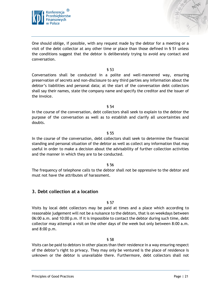

One should oblige, if possible, with any request made by the debtor for a meeting or a visit of the debt collector at any other time or place than those defined in § 51 unless the conditions suggest that the debtor is deliberately trying to avoid any contact and conversation.

#### § 53

Conversations shall be conducted in a polite and well-mannered way, ensuring preservation of secrets and non-disclosure to any third parties any information about the debtor's liabilities and personal data; at the start of the conversation debt collectors shall say their names, state the company name and specify the creditor and the issuer of the invoice.

§ 54

In the course of the conversation, debt collectors shall seek to explain to the debtor the purpose of the conversation as well as to establish and clarify all uncertainties and doubts.

#### § 55

In the course of the conversation, debt collectors shall seek to determine the financial standing and personal situation of the debtor as well as collect any information that may useful in order to make a decision about the advisability of further collection activities and the manner in which they are to be conducted.

#### § 56

The frequency of telephone calls to the debtor shall not be oppressive to the debtor and must not have the attributes of harassment.

#### <span id="page-20-0"></span>**3. Debt collection at a location**

#### § 57

Visits by local debt collectors may be paid at times and a place which according to reasonable judgement will not be a nuisance to the debtors, that is on weekdays between 06:00 a.m. and 10:00 p.m. If it is impossible to contact the debtor during such time, debt collector may attempt a visit on the other days of the week but only between 8:00 a.m. and 8:00 p.m.

#### § 58

Visits can be paid to debtors in other places than their residence in a way ensuring respect of the debtor's right to privacy. They may only be ventured is the place of residence is unknown or the debtor is unavailable there. Furthermore, debt collectors shall not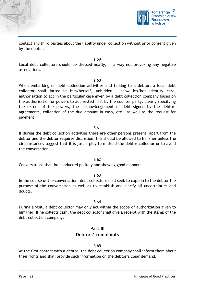

contact any third parties about the liability under collection without prior consent given by the debtor.

§ 59 Local debt collectors should be dressed neatly, in a way not provoking any negative associations.

§ 60

When embarking on debt collection activities and talking to a debtor, a local debt collector shall introduce him/herself, unbidden - show his/her identity card, authorisation to act in the particular case given by a debt collection company based on the authorisation or powers to act vested in it by the counter party, clearly specifying the extent of the powers, the acknowledgement of debt signed by the debtor, agreements, collection of the due amount in cash, etc., as well as the request for payment.

#### § 61

If during the debt collection activities there are other persons present, apart from the debtor and the debtor requires discretion, this should be allowed to him/her unless the circumstances suggest that it is just a ploy to mislead the debtor collector or to avoid the conversation.

#### § 62

Conversations shall be conducted politely and showing good manners.

#### § 63

In the course of the conversation, debt collectors shall seek to explain to the debtor the purpose of the conversation as well as to establish and clarify all uncertainties and doubts.

#### § 64

<span id="page-21-0"></span>During a visit, a debt collector may only act within the scope of authorization given to him/her. If he collects cash, the debt collector shall give a receipt with the stamp of the debt collection company.

# **Part III**

# **Debtors' complaints**

#### § 65

At the first contact with a debtor, the debt collection company shall inform them about their rights and shall provide such information on the debtor's clear demand.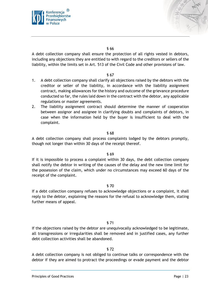



A debt collection company shall ensure the protection of all rights vested in debtors, including any objections they are entitled to with regard to the creditors or sellers of the liability, within the limits set in Art. 513 of the Civil Code and other provisions of law.

#### § 67

- 1. A debt collection company shall clarify all objections raised by the debtors with the creditor or seller of the liability, in accordance with the liability assignment contract, making allowances for the history and outcome of the grievance procedure conducted so far, the rules laid down in the contract with the debtor, any applicable regulations or master agreements.
- 2. The liability assignment contract should determine the manner of cooperation between assignor and assignee in clarifying doubts and complaints of debtors, in case when the information held by the buyer is insufficient to deal with the complaint.

#### § 68

A debt collection company shall process complaints lodged by the debtors promptly, though not longer than within 30 days of the receipt thereof.

#### § 69

If it is impossible to process a complaint within 30 days, the debt collection company shall notify the debtor in writing of the causes of the delay and the new time limit for the possession of the claim, which under no circumstances may exceed 60 days of the receipt of the complaint.

#### § 70

If a debt collection company refuses to acknowledge objections or a complaint, it shall reply to the debtor, explaining the reasons for the refusal to acknowledge them, stating further means of appeal.

#### § 71

If the objections raised by the debtor are unequivocally acknowledged to be legitimate, all transgressions or irregularities shall be removed and in justified cases, any further debt collection activities shall be abandoned.

#### § 72

A debt collection company is not obliged to continue talks or correspondence with the debtor if they are aimed to protract the proceedings or evade payment and the debtor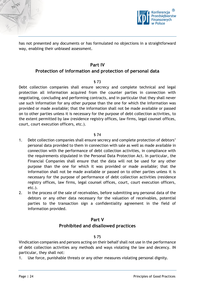



has not presented any documents or has formulated no objections in a straightforward way, enabling their unbiased assessment.

#### **Part IV**

# <span id="page-23-0"></span>**Protection of information and protection of personal data**

#### § 73

Debt collection companies shall ensure secrecy and complete technical and legal protection all information acquired from the counter parties in connection with negotiating, concluding and performing contracts, and in particular that they shall never use such information for any other purpose than the one for which the information was provided or made available; that the information shall not be made available or passed on to other parties unless it is necessary for the purpose of debt collection activities, to the extent permitted by law (residence registry offices, law firms, legal counsel offices, court, court execution officers, etc.).

#### § 74

- 1. Debt collection companies shall ensure secrecy and complete protection of debtors' personal data provided to them in connection with sale as well as made available in connection with the performance of debt collection activities, in compliance with the requirements stipulated in the Personal Data Protection Act. In particular, the Financial Companies shall ensure that the data will not be used for any other purpose than the one for which it was provided or made available; that the information shall not be made available or passed on to other parties unless it is necessary for the purpose of performance of debt collection activities (residence registry offices, law firms, legal counsel offices, court, court execution officers, etc.).
- 2. In the process of the sale of receivables, before submitting any personal data of the debtors or any other data necessary for the valuation of receivables, potential parties to the transaction sign a confidentiality agreement in the field of information provided.

# **Part V Prohibited and disallowed practices**

#### § 75

<span id="page-23-1"></span>Vindication companies and persons acting on their behalf shall not use in the performance of debt collection activities any methods and ways violating the law and decency. IN particular, they shall not:

1. Use force, punishable threats or any other measures violating personal dignity.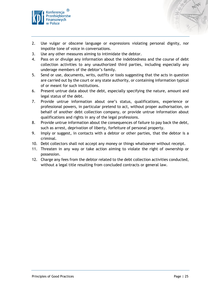

- 2. Use vulgar or obscene language or expressions violating personal dignity, nor impolite tone of voice in conversations.
- 3. Use any other measures aiming to intimidate the debtor.
- 4. Pass on or divulge any information about the indebtedness and the course of debt collection activities to any unauthorized third parties, including especially any underage members of the debtor's family.
- 5. Send or use, documents, writs, outfits or tools suggesting that the acts in question are carried out by the court or any state authority, or containing information typical of or meant for such institutions.
- 6. Present untrue data about the debt, especially specifying the nature, amount and legal status of the debt.
- 7. Provide untrue information about one's status, qualifications, experience or professional powers, in particular pretend to act, without proper authorisation, on behalf of another debt collection company, or provide untrue information about qualifications and rights in any of the legal professions.
- 8. Provide untrue information about the consequences of failure to pay back the debt, such as arrest, deprivation of liberty, forfeiture of personal property.
- 9. Imply or suggest, in contacts with a debtor or other parties, that the debtor is a criminal.
- 10. Debt collectors shall not accept any money or things whatsoever without receipt.
- 11. Threaten in any way or take action aiming to violate the right of ownership or possession.
- 12. Charge any fees from the debtor related to the debt collection activities conducted, without a legal title resulting from concluded contracts or general law.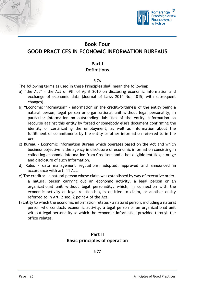



# <span id="page-25-1"></span><span id="page-25-0"></span>**Book Four GOOD PRACTICES IN ECONOMIC INFORMATION BUREAUS**

# **Part I Definitions**

#### § 76

The following terms as used in these Principles shall mean the following:

- a) "the Act" the Act of 9th of April 2010 on disclosing economic information and exchange of economic data (Journal of Laws 2014 No. 1015, with subsequent changes).
- b) "Economic information" information on the creditworthiness of the entity being a natural person, legal person or organizational unit without legal personality, in particular information on outstanding liabilities of the entity, information on recourse against this entity by forged or somebody else's document confirming the identity or certificating the employment, as well as information about the fulfillment of commitments by the entity or other information referred to in the Act.
- c) Bureau Economic Information Bureau which operates based on the Act and which business objective is the agency in disclosure of economic information consisting in collecting economic information from Creditors and other eligible entities, storage and disclosure of such information.
- d) Rules data management regulations, adopted, approved and announced in accordance with art. 11 Act.
- e) The creditor a natural person whose claim was established by way of executive order, a natural person carrying out an economic activity, a legal person or an organizational unit without legal personality, which, in connection with the economic activity or legal relationship, is entitled to claim, or another entity referred to in Art. 2 sec. 2 point 4 of the Act.
- <span id="page-25-2"></span>f) Entity to which the economic information relates - a natural person, including a natural person who conducts economic activity, a legal person or an organizational unit without legal personality to which the economic information provided through the office relates.

# **Part II Basic principles of operation**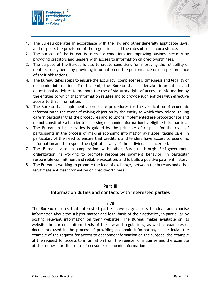

- 1. The Bureau operates in accordance with the law and other generally applicable laws, and respects the provisions of the regulations and the rules of social coexistence.
- 2. The purpose of the Bureau is to create conditions for improving business security by providing creditors and lenders with access to information on creditworthiness.
- 3. The purpose of the Bureau is also to create conditions for improving the reliability of debtors' repayments by providing information on the performance or non-performance of their obligations.
- 4. The Bureau takes steps to ensure the accuracy, completeness, timeliness and legality of economic information. To this end, the Bureau shall undertake information and educational activities to promote the use of statutory right of access to information by the entities to which that information relates and to provide such entities with effective access to that information.
- 5. The Bureau shall implement appropriate procedures for the verification of economic information in the event of raising objection by the entity to which they relate, taking care in particular that the procedures and solutions implemented are proportionate and do not constitute a barrier to accessing economic information by eligible third parties.
- 6. The Bureau in its activities is guided by the principle of respect for the right of participants in the process of making economic information available, taking care, in particular, of the need to ensure that creditors and lenders have access to economic information and to respect the right of privacy of the individuals concerned.
- 7. The Bureau, also in cooperation with other Bureaus through Self-government organization, is working to promote responsible payment behavior, in particular responsible commitment and reliable execution, and to build a positive payment history.
- 8. The Bureau is working to promote the idea of exchange, between the bureaus and other legitimate entities information on creditworthiness.

#### **Part III**

#### <span id="page-26-0"></span>**Information duties and contacts with interested parties**

#### § 78

The Bureau ensures that interested parties have easy access to clear and concise information about the subject matter and legal basis of their activities, in particular by posting relevant information on their websites. The Bureau makes available on its website the current uniform texts of the law and regulations, as well as examples of documents used in the process of providing economic information, in particular the example of the request for access to economic information on the subject, the example of the request for access to information from the register of inquiries and the example of the request for disclosure of consumer economic information.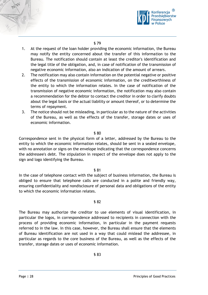

- 1. At the request of the loan holder providing the economic information, the Bureau may notify the entity concerned about the transfer of this information to the Bureau. The notification should contain at least the creditor's identification and the legal title of the obligation, and, in case of notification of the transmission of negative economic information, also an indication of the amount of arrears.
- 2. The notification may also contain information on the potential negative or positive effects of the transmission of economic information, on the creditworthiness of the entity to which the information relates. In the case of notification of the transmission of negative economic information, the notification may also contain a recommendation for the debtor to contact the creditor in order to clarify doubts about the legal basis or the actual liability or amount thereof, or to determine the terms of repayment.
- 3. The notice should not be misleading, in particular as to the nature of the activities of the Bureau, as well as the effects of the transfer, storage dates or uses of economic information.

#### § 80

Correspondence sent in the physical form of a letter, addressed by the Bureau to the entity to which the economic information relates, should be sent in a sealed envelope, with no annotation or signs on the envelope indicating that the correspondence concerns the addressee's debt. The stipulation in respect of the envelope does not apply to the sign and logo identifying the Bureau.

#### § 81

In the case of telephone contact with the subject of business information, the Bureau is obliged to ensure that telephone calls are conducted in a polite and friendly way, ensuring confidentiality and nondisclosure of personal data and obligations of the entity to which the economic information relates.

#### § 82

The Bureau may authorize the creditor to use elements of visual identification, in particular the logos, in correspondence addressed to recipients in connection with the process of providing economic information, in particular in the payment requests referred to in the law. In this case, however, the Bureau shall ensure that the elements of Bureau identification are not used in a way that could mislead the addressee, in particular as regards to the core business of the Bureau, as well as the effects of the transfer, storage dates or uses of economic information.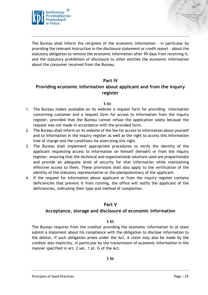



The Bureau shall inform the recipient of the economic information - in particular by providing the relevant instruction in the disclosure statement or credit report - about the statutory obligation to remove the economic information after 90 days from receiving it, and the statutory prohibition of disclosure to other entities the economic information about the consumer received from the Bureau.

#### **Part IV**

# <span id="page-28-0"></span>**Providing economic information about applicant and from the inquiry register**

#### § 84

- 1. The Bureau makes available on its website a request form for providing information concerning customer and a request form for access to information from the inquiry register, provided that the Bureau cannot refuse the application solely because the request was not made in accordance with the provided form.
- 2. The Bureau shall inform on its website of the fee for access to information about yourself and to information in the inquiry register as well as the right to access this information free of charge and the conditions for exercising this right.
- 3. The Bureau shall implement appropriate procedures to verify the identity of the applicant requesting access to information on himself (herself) or from the inquiry register, ensuring that the technical and organizational solutions used are proportionate and provide an adequate level of security for that information while maintaining effective access to them. These provisions shall also apply to the verification of the identity of the statutory representative or the plenipotentiary of the applicant.
- 4. If the request for information about applicant or from the inquiry register contains deficiencies that prevent it from running, the office will notify the applicant of the deficiencies, indicating their type and method of completion.

#### **Part V**

#### <span id="page-28-1"></span>**Acceptance, storage and disclosure of economic information**

#### § 85

The Bureau requires from the creditor providing the economic information to at least submit a statement about his compliance with the obligation to disclose information to the debtor, if such obligation arises under the Act. A claim may also be made by the creditor also implicitly, in particular by the transmission of economic information in the manner specified in art. 2 sec. 1 pt. G of the Act.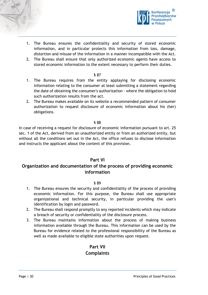



- 1. The Bureau ensures the confidentiality and security of stored economic information, and in particular protects this information from loss, damage, distortion and misuse of the information in a manner incompatible with the Act.
- 2. The Bureau shall ensure that only authorized economic agents have access to stored economic information to the extent necessary to perform their duties.

- 1. The Bureau requires from the entity applaying for disclosing economic information relating to the consumer at least submitting a statement regarding the date of obtaining the consumer's authorization - where the obligation to hold such authorization results from the act.
- 2. The Bureau makes available on its website a recommended pattern of consumer authorization to request disclosure of economic information about his (her) obligations.

#### § 88

In case of receiving a request for disclosure of economic information pursuant to art. 25 sec. 1 of the Act, derived from an unauthorized entity or from an authorized entity, but without all the conditions set out in the Act, the office refuses to disclose information and instructs the applicant about the content of this provision.

#### **Part VI**

# <span id="page-29-0"></span>**Organization and documentation of the process of providing economic information**

#### § 89

- 1. The Bureau ensures the security and confidentiality of the process of providing economic information. For this purpose, the Bureau shall use appropriate organizational and technical security, in particular providing the user's identification by login and password.
- 2. The Bureau shall respond promptly to any reported incidents which may indicate a breach of security or confidentiality of the disclosure process.
- <span id="page-29-2"></span><span id="page-29-1"></span>3. The Bureau maintains information about the process of making business information available through the Bureau. This information can be used by the Bureau for evidence related to the professional responsibility of the Bureau as well as made available to eligible state authorities upon request.

# **Part VII Complaints**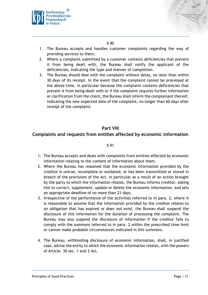



- 1. The Bureau accepts and handles customer complaints regarding the way of providing services to them.
- 2. Where a complaint submitted by a customer contains deficiencies that prevent it from being dealt with, the Bureau shall notify the applicant of the deficiencies, indicating the type and manner of completion.
- 3. The Bureau should deal with the complaint without delay, no later than within 30 days of its receipt. In the event that the complaint cannot be processed at the above time, in particular because the complaint contains deficiencies that prevent it from being dealt with or if the complaint requires further information or clarification from the client, the Bureau shall inform the complainant thereof, indicating the new expected date of the complaint, no longer than 60 days after receipt of the complaint.

# **Part VIII**

#### <span id="page-30-1"></span><span id="page-30-0"></span>**Complaints and requests from entities affected by economic information**

- 1. The Bureau accepts and deals with complaints from entities affected by economic information relating to the content of information about them.
- 2. Where the Bureau has reasoned that the economic information provided by the creditor is untrue, incomplete or outdated, or has been transmitted or stored in breach of the provisions of the Act, in particular as a result of an action brought by the party to which the information relates, the Bureau informs creditor, asking him to correct, supplement, update or delete the economic information, and sets an appropriate deadline of no more than 21 days.
- 3. Irrespective of the performance of the activities referred to in para. 2, where it is reasonable to assume that the information provided by the creditor relates to an obligation that has expired or does not exist, the Bureau shall suspend the disclosure of this information for the duration of processing the complaint. The Bureau may also suspend the disclosure of information if the creditor fails to comply with the summons referred to in para. 2 within the prescribed time limit or cannot make probable circumstances indicated in this summons.
- 4. The Bureau, withholding disclosure of economic information, shall, in justified case, advise the entity to which the economic information relates, with the powers of Article. 30 sec. 1 and 2 Act.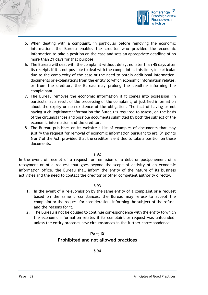



- 5. When dealing with a complaint, in particular before removing the economic information, the Bureau enables the creditor who provided the economic information to take a position on the case and sets an appropriate deadline of no more than 21 days for that purpose.
- 6. The Bureau will deal with the complaint without delay, no later than 45 days after its receipt. If it is not possible to deal with the complaint at this time, in particular due to the complexity of the case or the need to obtain additional information, documents or explanations from the entity to which economic information relates, or from the creditor, the Bureau may prolong the deadline informing the complainant.
- 7. The Bureau removes the economic information if it comes into possession, in particular as a result of the processing of the complaint, of justified information about the expiry or non-existence of the obligation. The fact of having or not having such legitimate information the Bureau is required to assess, on the basis of the circumstances and possible documents submitted by both the subject of the economic information and the creditor.
- 8. The Bureau publishes on its website a list of examples of documents that may justify the request for removal of economic information pursuant to art. 31 points 6 or 7 of the Act, provided that the creditor is entitled to take a position on these documents.

In the event of receipt of a request for remission of a debt or postponement of a repayment or of a request that goes beyond the scope of activity of an economic information office, the Bureau shall inform the entity of the nature of its business activities and the need to contact the creditor or other competent authority directly.

#### § 93

- 1. In the event of a re-submission by the same entity of a complaint or a request based on the same circumstances, the Bureau may refuse to accept the complaint or the request for consideration, informing the subject of the refusal and the reasons for it.
- <span id="page-31-0"></span>2. The Bureau is not be obliged to continue correspondence with the entity to which the economic information relates if its complaint or request was unfounded, unless the entity proposes new circumstances in the further correspondence.

# **Part IX Prohibited and not allowed practices**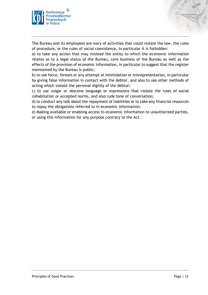



a) to take any action that may mislead the entity to which the economic information relates as to a legal status of the Bureau, core business of the Bureau as well as the effects of the provision of economic information, in particular to suggest that the register maintained by the Bureau is public;

b) to use force, threats or any attempt at intimidation or misrepresentation, in particular by giving false information in contact with the debtor, and also to use other methods of acting which violate the personal dignity of the debtor;

c) to use vulgar or obscene language or expressions that violate the rules of social cohabitation or accepted norms, and also rude tone of conversation;

d) to conduct any talk about the repayment of liabilities or to take any financial resources to repay the obligations referred to in economic information;

e) Making available or enabling access to economic information to unauthorized parties, or using this information for any purpose contrary to the Act.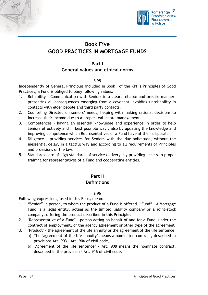



# <span id="page-33-0"></span>**Book Five GOOD PRACTICES IN MORTGAGE FUNDS**

#### **Part I**

# **General values and ethical norms**

#### § 95

<span id="page-33-1"></span>Independently of General Principles included in Book I of the KPF's Principles of Good Practices, a Fund is obliged to obey following values:

- 1. Reliability Communication with Seniors in a clear, reliable and precise manner, presenting all consequences emerging from a covenant; avoiding unreliability in contacts with elder people and third party contacts.
- 2. Counseling Directed on seniors' needs, helping with making rational decisions to increase their income due to a proper real estate management.
- 3. Competences having an essential knowledge and experience in order to help Seniors effectively and in best possible way , also by updating the knowledge and improving competence which Representatives of a Fund have at their disposal.
- 4. Diligence providing services for Seniors with the due solicitude, without the inessential delay, in a tactful way and according to all requirements of Principles and provisions of the law.
- <span id="page-33-2"></span>5. Standards care of high standards of service delivery- by providing access to proper training for representatives of a Fund and cooperating entities.

# **Part II**

# **Definitions**

§ 96

Following expressions, used in this Book, mean:

- 1. "Senior" –a person, to whom the product of a Fund is offered. "Fund" A Mortgage Fund is a legal entity, acting as the limited liability company or a joint-stock company, offering the product described in this Principles
- 2. "Representative of a Fund" person acting on behalf of and for a Fund, under the contract of employment, of the agency agreement or other type of the agreement
- 3. "Product" the agreement of the life annuity or the agreement of the life sentence:
	- a) The "agreement of the life annuity" means a nominated contract, described in provisions Art. 903 - Art. 906 of civil code,
	- b) "Agreement of the life sentence" Art. 908 means the nominate contract, described in the provision - Art. 916 of civil code.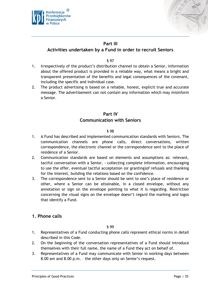



# **Part III**

# <span id="page-34-0"></span>**Activities undertaken by a Fund in order to recruit Seniors**

#### § 97

- 1. Irrespectively of the product's distribution channel to obtain a Senior, information about the offered product is provided in a reliable way, what means a bright and transparent presentation of the benefits and legal consequences of the covenant, including the specific and individual case.
- 2. The product advertising is based on a reliable, honest, explicit true and accurate message. The advertisement can not contain any information which may misinform a Senior.

# **Part IV Communication with Seniors**

#### § 98

- <span id="page-34-1"></span>1. A Fund has described and implemented communication standards with Seniors. The communication channels are phone calls, direct conversations, written correspondence, the electronic channel or the correspondence sent to the place of residence of a Senior.
- 2. Communication standards are based on elements and assumptions as: relevant, tactful conversation with a Senior, - collecting complete information, encouraging to use the offer, eventual tactful acceptation (or granting)of refusals and thanking for the interest, building the relations based on the confidence.
- 3. The correspondence sent to a Senior should be sent to one's place of residence or other, where a Senior can be attainable, in a closed envelope, without any annotation or sign on the envelope pointing to what it is regarding. Restriction concerning the visual signs on the envelope doesn't regard the marking and logos that identify a Fund.

# <span id="page-34-2"></span>**1. Phone calls**

- 1. Representatives of a Fund conducting phone calls represent ethical norms in detail described in this Code.
- 2. On the beginning of the conversation representatives of a Fund should introduce themselves with their full name, the name of a Fund they act on behalf of.
- 3. Representatives of a Fund may communicate with Senior in working days between 8.00 am and 8.00 p.m. – the other days only on Senior's request.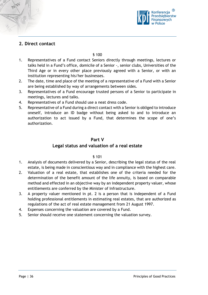

# <span id="page-35-0"></span>**2. Direct contact**

§ 100

- 1. Representatives of a Fund contact Seniors directly through meetings, lectures or talks held in a Fund's office, domicile of a Senior -, senior clubs, Universities of the Third Age or in every other place previously agreed with a Senior, or with an institution representing his/her businesses.
- 2. The date, time and place of the meeting of a representative of a Fund with a Senior are being established by way of arrangements between sides.
- 3. Representatives of a Fund encourage trusted persons of a Senior to participate in meetings, lectures and talks.
- 4. Representatives of a Fund should use a neat dress code.
- 5. Representative of a Fund during a direct contact with a Senior is obliged to introduce oneself, introduce an ID badge without being asked to and to introduce an authorization to act issued by a Fund, that determines the scope of one's authorization.

#### **Part V**

#### **Legal status and valuation of a real estate**

- <span id="page-35-1"></span>1. Analysis of documents delivered by a Senior, describing the legal status of the real estate, is being made in conscientious way and in compliance with the highest care.
- 2. Valuation of a real estate, that establishes one of the criteria needed for the determination of the benefit amount of the life annuity, is based on comparable method and effected in an objective way by an independent property valuer, whose entitlements are conferred by the Minister of Infrastructure.
- 3. A property valuer mentioned in pt. 2 is a person that is independent of a Fund holding professional entitlements in estimating real estates, that are authorized as regulations of the act of real estate management from 21 August 1997.
- 4. Expenses concerning the valuation are covered by a Fund.
- 5. Senior should receive one statement concerning the valuation survey.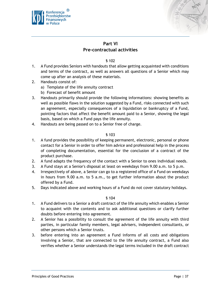



# **Part VI Pre-contractual activities**

#### § 102

- <span id="page-36-0"></span>1. A Fund provides Seniors with handouts that allow getting acquainted with conditions and terms of the contract, as well as answers all questions of a Senior which may come up after an analysis of these materials.
- 2. Handouts consist of:
	- a) Template of the life annuity contract
	- b) Forecast of benefit amount
- 3. Handouts primarily should provide the following informations: showing benefits as well as possible flaws in the solution suggested by a Fund, risks connected with such an agreement, especially consequences of a liquidation or bankruptcy of a Fund, pointing factors that affect the benefit amount paid to a Senior, showing the legal basis, based on which a Fund pays the life annuity.
- 4. Handouts are being passed on to a Senior free of charge.

#### § 103

- 1. A fund provides the possibility of keeping permanent, electronic, personal or phone contact for a Senior in order to offer him advice and professional help in the process of completing documentation, essential for the conclusion of a contract of the product purchase.
- 2. A fund adapts the frequency of the contact with a Senior to ones individual needs.
- 3. A Fund stays at a Senior's disposal at least on weekdays from 9.00 a.m. to 5 p.m.
- 4. Irrespectively of above, a Senior can go to a registered office of a Fund on weekdays in hours from 9.00 a.m. to 5 a.m., to get further information about the product offered by a Fund.
- 5. Days indicated above and working hours of a Fund do not cover statutory holidays.

- 1. A Fund delivers to a Senior a draft contract of the life annuity which enables a Senior to acquaint with the contents and to ask additional questions or clarify further doubts before entering into agreement.
- 2. A Senior has a possibility to consult the agreement of the life annuity with third parties, in particular family members, legal advisers, independent consultants, or other persons which a Senior trusts.
- 3. before entering into an agreement a Fund informs of all costs and obligations involving a Senior, that are connected to the life annuity contract, a Fund also verifies whether a Senior understands the legal terms included in the draft contract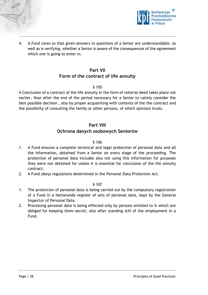



4. A Fund cares so that given answers to questions of a Senior are understandable, as well as is verifying, whether a Senior is aware of the consequences of the agreement which one is going to enter in.

# **Part VII Form of the contract of life annuity**

#### § 105

<span id="page-37-0"></span>A Conclusion of a contract of the life annuity in the form of notarial deed takes place not earlier, than after the end of the period necessary for a Senior to calmly consider the best possible decision , also by proper acquainting with contents of the the contract and the possibility of consulting the family or other persons, of which opinions trusts.

#### **Part VIII**

# **Ochrona danych osobowych Seniorów**

#### § 106

- <span id="page-37-1"></span>1. A Fund ensures a complete technical and legal protection of personal data and all the information, obtained from a Senior on every stage of the proceeding. The protection of personal data includes also not using this information for purposes they were not obtained for unless it is essential for conclusion of the life annuity contract.
- 2. A Fund obeys regulations determined in the Personal Data Protection Act.

- 1. The protection of personal data is being carried out by the compulsory registration of a Fund in a Nationwide register of sets of personal data, kept by the General Inspector of Personal Data.
- 2. Processing personal data is being effected only by persons entitled to it which are obliged for keeping them secret, also after standing still of the employment in a Fund.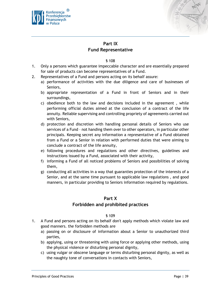



# **Part IX**

# **Fund Representative**

#### § 108

- <span id="page-38-0"></span>1. Only a persons which guarantee impeccable character and are essentially prepared for sale of products can become representatives of a Fund.
- 2. Representatives of a Fund and persons acting on its behalf assure:
	- a) performance of activities with the due diligence and care of businesses of Seniors,
	- b) appropriate representation of a Fund in front of Seniors and in their surroundings,
	- c) obedience both to the law and decisions included in the agreement , while performing official duties aimed at the conclusion of a contract of the life annuity. Reliable supervising and controlling propriety of agreements carried out with Seniors,
	- d) protection and discretion with handling personal details of Seniors who use services of a Fund – not handing them over to other operators, in particular other principals. Keeping secret any information a representative of a Fund obtained from a Fund or a Senior in relation with performed duties that were aiming to conclude a contract of the life annuity,
	- e) following procedures and regulations and other directives, guidelines and instructions issued by a Fund, associated with their activity,
	- f) informing a Fund of all noticed problems of Seniors and possibilities of solving them,
	- g) conducting all activities in a way that guaranties protection of the interests of a Senior, and at the same time pursuant to applicable law regulations , and good manners, in particular providing to Seniors information required by regulations.

# **Part X**

# **Forbidden and prohibited practices**

- <span id="page-38-1"></span>1. A Fund and persons acting on its behalf don't apply methods which violate law and good manners. the forbidden methods are
	- a) passing on or disclosure of information about a Senior to unauthorized third parties,
	- b) applying, using or threatening with using force or applying other methods, using the physical violence or disturbing personal dignity,
	- c) using vulgar or obscene language or terms disturbing personal dignity, as well as the naughty tone of conversations in contacts with Seniors,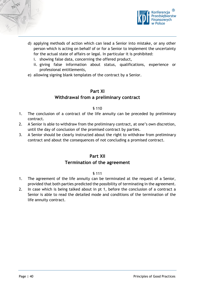



- d) applying methods of action which can lead a Senior into mistake, or any other person which is acting on behalf of or for a Senior to implement the uncertainty for the actual state of affairs or legal. In particular it is prohibited:
	- i. showing false data, concerning the offered product,
	- ii. giving false information about status, qualifications, experience or professional entitlements,
- <span id="page-39-0"></span>e) allowing signing blank templates of the contract by a Senior.

# **Part XI Withdrawal from a preliminary contract**

#### § 110

- 1. The conclusion of a contract of the life annuity can be preceded by preliminary contract.
- 2. A Senior is able to withdraw from the preliminary contract, at one's own discretion, until the day of conclusion of the promised contract by parties.
- <span id="page-39-1"></span>3. A Senior should be clearly instructed about the right to withdraw from preliminary contract and about the consequences of not concluding a promised contract.

# **Part XII**

#### **Termination of the agreement**

- 1. The agreement of the life annuity can be terminated at the request of a Senior, provided that both parties predicted the possibility of terminating in the agreement.
- 2. In case which is being talked about in pt 1, before the conclusion of a contract a Senior is able to read the detailed mode and conditions of the termination of the life annuity contract.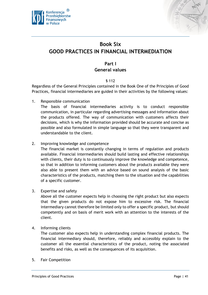



# <span id="page-40-0"></span>**Book Six GOOD PRACTICES IN FINANCIAL INTERMEDIATION**

# **Part I General values**

#### § 112

<span id="page-40-1"></span>Regardless of the General Principles contained in the Book One of the Principles of Good Practices, financial intermediaries are guided in their activities by the following values:

1. Responsible communication

The basis of financial intermediaries activity is to conduct responsible communication, in particular regarding advertising messages and information about the products offered. The way of communication with customers affects their decisions, which is why the information provided should be accurate and concise as possible and also formulated in simple language so that they were transparent and understandable to the client.

2. Improving knowledge and competence

The financial market is constantly changing in terms of regulation and products available. Financial intermediaries should build lasting and effective relationships with clients, their duty is to continuously improve the knowledge and competence, so that in addition to informing customers about the products available they were also able to present them with an advice based on sound analysis of the basic characteristics of the products, matching them to the situation and the capabilities of a specific customer.

3. Expertise and safety

Above all the customer expects help in choosing the right product but also expects that the given products do not expose him to excessive risk. The financial intermediary cannot therefore be limited only to offer a specific product, but should competently and on basis of merit work with an attention to the interests of the client.

4. Informing clients

The customer also expects help in understanding complex financial products. The financial intermediary should, therefore, reliably and accessibly explain to the customer all the essential characteristics of the product, noting the associated benefits and risks, as well as the consequences of its acquisition.

5. Fair Competition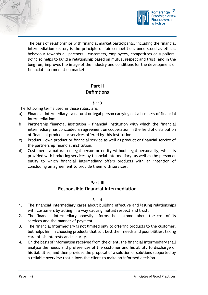



The basis of relationships with financial market participants, including the financial intermediation sector, is the principle of fair competition, understood as ethical behaviour towards all partners - customers, employees, competitors or suppliers. Doing so helps to build a relationship based on mutual respect and trust, and in the long run, improves the image of the industry and conditions for the development of financial intermediation market.

# **Part II Definitions**

#### § 113

<span id="page-41-0"></span>The following terms used in these rules, are:

- a) Financial intermediary a natural or legal person carrying out a business of financial intermediation;
- b) Partnership financial institution financial institution with which the financial intermediary has concluded an agreement on cooperation in the field of distribution of financial products or services offered by this institution;
- c) Product own product or financial service as well as product or financial service of the partnership financial institution.
- d) Customer a natural or legal person or entity without legal personality, which is provided with brokering services by financial intermediary, as well as the person or entity to which financial intermediary offers products with an intention of concluding an agreement to provide them with services.

# **Part III**

# **Responsible financial intermediation**

- <span id="page-41-1"></span>1. The financial intermediary cares about building effective and lasting relationships with customers by acting in a way causing mutual respect and trust.
- 2. The financial intermediary honestly informs the customer about the cost of its services and the manner of payment.
- 3. The financial intermediary is not limited only to offering products to the customer, but helps him in choosing products that suit best their needs and possibilities, taking care of his interests and security.
- 4. On the basis of information received from the client, the financial intermediary shall analyse the needs and preferences of the customer and his ability to discharge of his liabilities, and then provides the proposal of a solution or solutions supported by a reliable overview that allows the client to make an informed decision.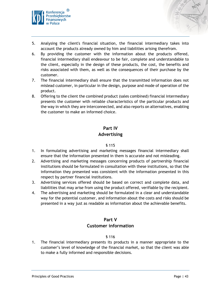



- 5. Analysing the client's financial situation, the financial intermediary takes into account the products already owned by him and liabilities arising therefrom.
- 6. By providing the customer with the information about the products offered, financial intermediary shall endeavour to be fair, complete and understandable to the client, especially in the design of these products, the cost, the benefits and risks associated with them, as well as the consequences of their purchase by the customer.
- 7. The financial intermediary shall ensure that the transmitted information does not mislead customer, in particular in the design, purpose and mode of operation of the product.
- 8. Offering to the client the combined product (sales combined) financial intermediary presents the customer with reliable characteristics of the particular products and the way in which they are interconnected, and also reports on alternatives, enabling the customer to make an informed choice.

# **Part IV**

# **Advertising**

#### § 115

- <span id="page-42-0"></span>1. In formulating advertising and marketing messages financial intermediary shall ensure that the information presented in them is accurate and not misleading.
- 2. Advertising and marketing messages concerning products of partnership financial institutions should be formulated in consultation with these institutions, so that the information they presented was consistent with the information presented in this respect by partner financial institutions.
- 3. Advertising services offered should be based on correct and complete data, and liabilities that may arise from using the product offered, verifiable by the recipient.
- 4. The advertising and marketing should be formulated in a clear and understandable way for the potential customer, and information about the costs and risks should be presented in a way just as readable as information about the achievable benefits.

# **Part V Customer information**

#### § 116

<span id="page-42-1"></span>1. The financial intermediary presents its products in a manner appropriate to the customer's level of knowledge of the financial market, so that the client was able to make a fully informed and responsible decisions.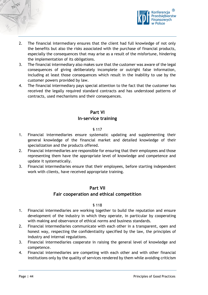



- 2. The financial intermediary ensures that the client had full knowledge of not only the benefits but also the risks associated with the purchase of financial products, especially the consequences that may arise as a result of the misfortune, hindering the implementation of its obligations.
- 3. The financial intermediary also makes sure that the customer was aware of the legal consequences of giving deliberately incomplete or outright false information, including at least those consequences which result in the inability to use by the customer powers provided by law.
- 4. The financial intermediary pays special attention to the fact that the customer has received the legally required standard contracts and has understood patterns of contracts, used mechanisms and their consequences.

# **Part VI**

# **In-service training**

#### § 117

- <span id="page-43-0"></span>1. Financial intermediaries ensure systematic updating and supplementing their general knowledge of the financial market and detailed knowledge of their specialization and the products offered.
- 2. Financial intermediaries are responsible for ensuring that their employees and those representing them have the appropriate level of knowledge and competence and update it systematically.
- <span id="page-43-1"></span>3. Financial intermediaries ensure that their employees, before starting independent work with clients, have received appropriate training.

# **Part VII**

# **Fair cooperation and ethical competition**

- 1. Financial intermediaries are working together to build the reputation and ensure development of the industry in which they operate, in particular by cooperating with making and observance of ethical norms and business standards.
- 2. Financial intermediaries communicate with each other in a transparent, open and honest way, respecting the confidentiality specified by the law, the principles of industry and internal regulations.
- 3. Financial intermediaries cooperate in raising the general level of knowledge and competence.
- 4. Financial intermediaries are competing with each other and with other financial institutions only by the quality of services rendered by them while avoiding criticism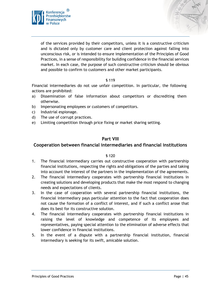



of the services provided by their competitors, unless it is a constructive criticism and is dictated only by customer care and client protection against falling into unconscious risk, or is intended to ensure implementation of the Principles of Good Practices, in a sense of responsibility for building confidence in the financial services market. In each case, the purpose of such constructive criticism should be obvious and possible to confirm to customers and other market participants.

#### § 119

Financial intermediaries do not use unfair competition. In particular, the following actions are prohibited:

- a) Dissemination of false information about competitors or discrediting them otherwise.
- b) Impersonating employees or customers of competitors.
- c) Industrial espionage.
- d) The use of corrupt practices.
- e) Limiting competition through price fixing or market sharing setting.

#### **Part VIII**

#### <span id="page-44-0"></span>**Cooperation between financial intermediaries and financial institutions**

- 1. The financial intermediary carries out constructive cooperation with partnership financial institutions, respecting the rights and obligations of the parties and taking into account the interest of the partners in the implementation of the agreements.
- 2. The financial intermediary cooperates with partnership financial institutions in creating solutions and developing products that make the most respond to changing needs and expectations of clients.
- 3. In the case of cooperation with several partnership financial institutions, the financial intermediary pays particular attention to the fact that cooperation does not cause the formation of a conflict of interest, and if such a conflict arose that does its best for its constructive solution.
- 4. The financial intermediary cooperates with partnership financial institutions in raising the level of knowledge and competence of its employees and representatives, paying special attention to the elimination of adverse effects that lower confidence in financial institutions.
- 5. In the event of a dispute with a partnership financial institution, financial intermediary is seeking for its swift, amicable solution.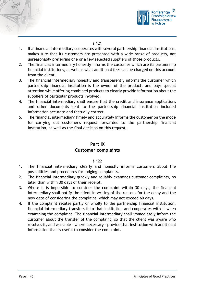



- 1. If a financial intermediary cooperates with several partnership financial institutions, makes sure that its customers are presented with a wide range of products, not unreasonably preferring one or a few selected suppliers of those products.
- 2. The financial intermediary honestly informs the customer which are its partnership financial institutions, as well as what additional fees can be charged on this account from the client.
- 3. The financial intermediary honestly and transparently informs the customer which partnership financial institution is the owner of the product, and pays special attention while offering combined products to clearly provide information about the suppliers of particular products involved.
- 4. The financial intermediary shall ensure that the credit and insurance applications and other documents sent to the partnership financial institution included information accurate and factually correct.
- 5. The financial intermediary timely and accurately informs the customer on the mode for carrying out customer's request forwarded to the partnership financial institution, as well as the final decision on this request.

# **Part IX Customer complaints**

- <span id="page-45-0"></span>1. The financial intermediary clearly and honestly informs customers about the possibilities and procedures for lodging complaints.
- 2. The financial intermediary quickly and reliably examines customer complaints, no later than within 30 days of their receipt.
- 3. Where it is impossible to consider the complaint within 30 days, the financial intermediary shall notify the client in writing of the reasons for the delay and the new date of considering the complaint, which may not exceed 60 days.
- 4. If the complaint relates partly or wholly to the partnership financial institution, financial intermediary transfers it to that institution and cooperates with it when examining the complaint. The financial intermediary shall immediately inform the customer about the transfer of the complaint, so that the client was aware who resolves it, and was able - where necessary - provide that institution with additional information that is useful to consider the complaint.